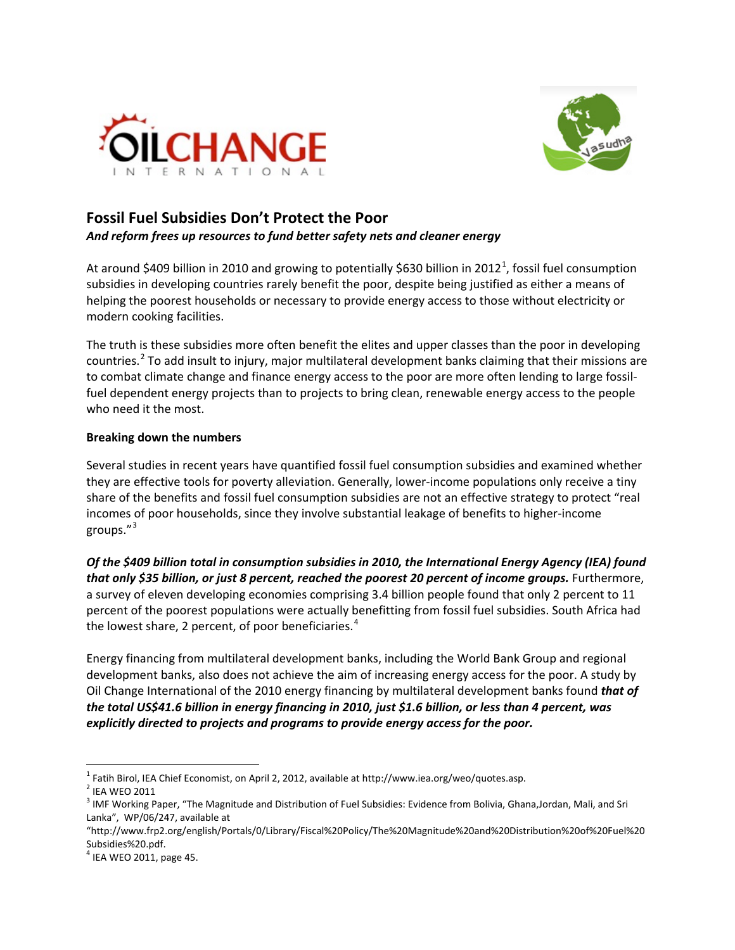



## **Fossil Fuel Subsidies Don't Protect the Poor** *And reform frees up resources to fund better safety nets and cleaner energy*

At around \$409 billion in 20[1](#page-0-0)0 and growing to potentially \$630 billion in 2012<sup>1</sup>, fossil fuel consumption subsidies in developing countries rarely benefit the poor, despite being justified as either a means of helping the poorest households or necessary to provide energy access to those without electricity or modern cooking facilities.

The truth is these subsidies more often benefit the elites and upper classes than the poor in developing countries.<sup>[2](#page-0-1)</sup> To add insult to injury, major multilateral development banks claiming that their missions are to combat climate change and finance energy access to the poor are more often lending to large fossilfuel dependent energy projects than to projects to bring clean, renewable energy access to the people who need it the most.

## **Breaking down the numbers**

Several studies in recent years have quantified fossil fuel consumption subsidies and examined whether they are effective tools for poverty alleviation. Generally, lower-income populations only receive a tiny share of the benefits and fossil fuel consumption subsidies are not an effective strategy to protect "real incomes of poor households, since they involve substantial leakage of benefits to higher-income groups."[3](#page-0-2)

*Of the \$409 billion total in consumption subsidies in 2010, the International Energy Agency (IEA) found that only \$35 billion, or just 8 percent, reached the poorest 20 percent of income groups.* Furthermore, a survey of eleven developing economies comprising 3.4 billion people found that only 2 percent to 11 percent of the poorest populations were actually benefitting from fossil fuel subsidies. South Africa had the lowest share, 2 percent, of poor beneficiaries.<sup>[4](#page-0-3)</sup>

Energy financing from multilateral development banks, including the World Bank Group and regional development banks, also does not achieve the aim of increasing energy access for the poor. A study by Oil Change International of the 2010 energy financing by multilateral development banks found *that of the total US\$41.6 billion in energy financing in 2010, just \$1.6 billion, or less than 4 percent, was explicitly directed to projects and programs to provide energy access for the poor.*

<span id="page-0-0"></span><sup>&</sup>lt;sup>1</sup> Fatih Birol, IEA Chief Economist, on April 2, 2012, available at http://www.iea.org/weo/quotes.asp.<br><sup>2</sup> IEA WEO 2011

<span id="page-0-2"></span><span id="page-0-1"></span> $3$  IMF Working Paper, "The Magnitude and Distribution of Fuel Subsidies: Evidence from Bolivia, Ghana,Jordan, Mali, and Sri Lanka", WP/06/247, available at

<sup>&</sup>quot;http://www.frp2.org/english/Portals/0/Library/Fiscal%20Policy/The%20Magnitude%20and%20Distribution%20of%20Fuel%20 Subsidies%20.pdf.

<span id="page-0-3"></span> $<sup>4</sup>$  IEA WEO 2011, page 45.</sup>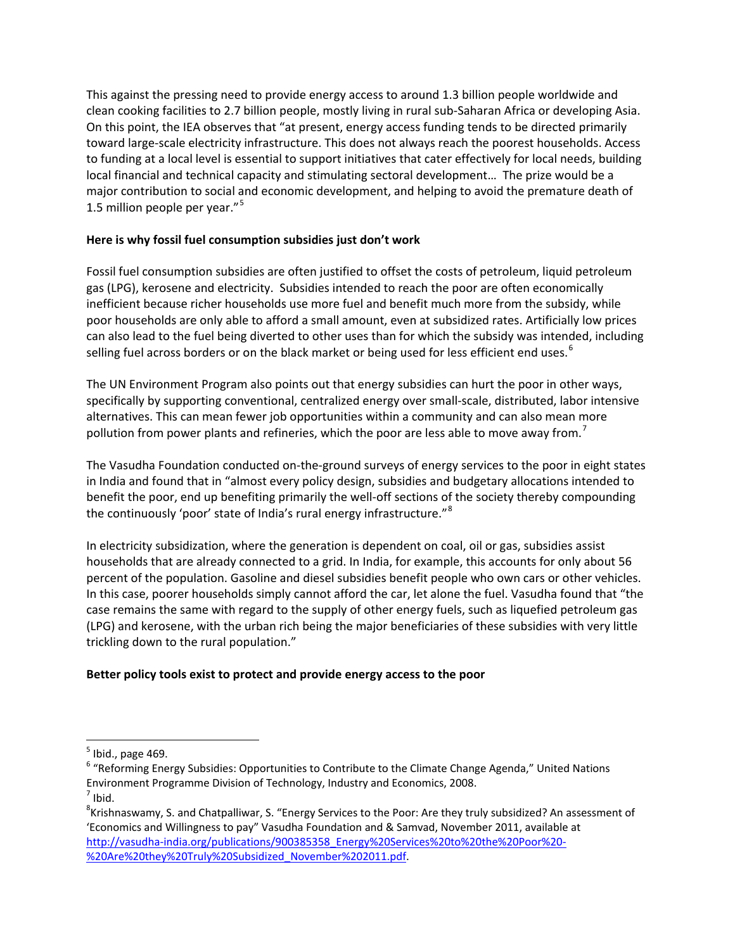This against the pressing need to provide energy access to around 1.3 billion people worldwide and clean cooking facilities to 2.7 billion people, mostly living in rural sub-Saharan Africa or developing Asia. On this point, the IEA observes that "at present, energy access funding tends to be directed primarily toward large-scale electricity infrastructure. This does not always reach the poorest households. Access to funding at a local level is essential to support initiatives that cater effectively for local needs, building local financial and technical capacity and stimulating sectoral development… The prize would be a major contribution to social and economic development, and helping to avoid the premature death of 1.[5](#page-1-0) million people per year."<sup>5</sup>

## **Here is why fossil fuel consumption subsidies just don't work**

Fossil fuel consumption subsidies are often justified to offset the costs of petroleum, liquid petroleum gas (LPG), kerosene and electricity. Subsidies intended to reach the poor are often economically inefficient because richer households use more fuel and benefit much more from the subsidy, while poor households are only able to afford a small amount, even at subsidized rates. Artificially low prices can also lead to the fuel being diverted to other uses than for which the subsidy was intended, including selling fuel across borders or on the black market or being used for less efficient end uses.<sup>[6](#page-1-1)</sup>

The UN Environment Program also points out that energy subsidies can hurt the poor in other ways, specifically by supporting conventional, centralized energy over small-scale, distributed, labor intensive alternatives. This can mean fewer job opportunities within a community and can also mean more pollution from power plants and refineries, which the poor are less able to move away from.<sup>[7](#page-1-2)</sup>

The Vasudha Foundation conducted on-the-ground surveys of energy services to the poor in eight states in India and found that in "almost every policy design, subsidies and budgetary allocations intended to benefit the poor, end up benefiting primarily the well-off sections of the society thereby compounding the continuously 'poor' state of India's rural energy infrastructure."[8](#page-1-3)

In electricity subsidization, where the generation is dependent on coal, oil or gas, subsidies assist households that are already connected to a grid. In India, for example, this accounts for only about 56 percent of the population. Gasoline and diesel subsidies benefit people who own cars or other vehicles. In this case, poorer households simply cannot afford the car, let alone the fuel. Vasudha found that "the case remains the same with regard to the supply of other energy fuels, such as liquefied petroleum gas (LPG) and kerosene, with the urban rich being the major beneficiaries of these subsidies with very little trickling down to the rural population."

## **Better policy tools exist to protect and provide energy access to the poor**

<span id="page-1-0"></span> $<sup>5</sup>$  Ibid., page 469.</sup>

<span id="page-1-1"></span><sup>&</sup>lt;sup>6</sup> "Reforming Energy Subsidies: Opportunities to Contribute to the Climate Change Agenda," United Nations Environment Programme Division of Technology, Industry and Economics, 2008.  $<sup>7</sup>$  Ibid.</sup>

<span id="page-1-3"></span><span id="page-1-2"></span><sup>&</sup>lt;sup>8</sup>Krishnaswamy, S. and Chatpalliwar, S. "Energy Services to the Poor: Are they truly subsidized? An assessment of 'Economics and Willingness to pay" Vasudha Foundation and & Samvad, November 2011, available at [http://vasudha-india.org/publications/900385358\\_Energy%20Services%20to%20the%20Poor%20-](http://vasudha-india.org/publications/900385358_Energy%20Services%20to%20the%20Poor%20-%20Are%20they%20Truly%20Subsidized_November%202011.pdf) [%20Are%20they%20Truly%20Subsidized\\_November%202011.pdf.](http://vasudha-india.org/publications/900385358_Energy%20Services%20to%20the%20Poor%20-%20Are%20they%20Truly%20Subsidized_November%202011.pdf)